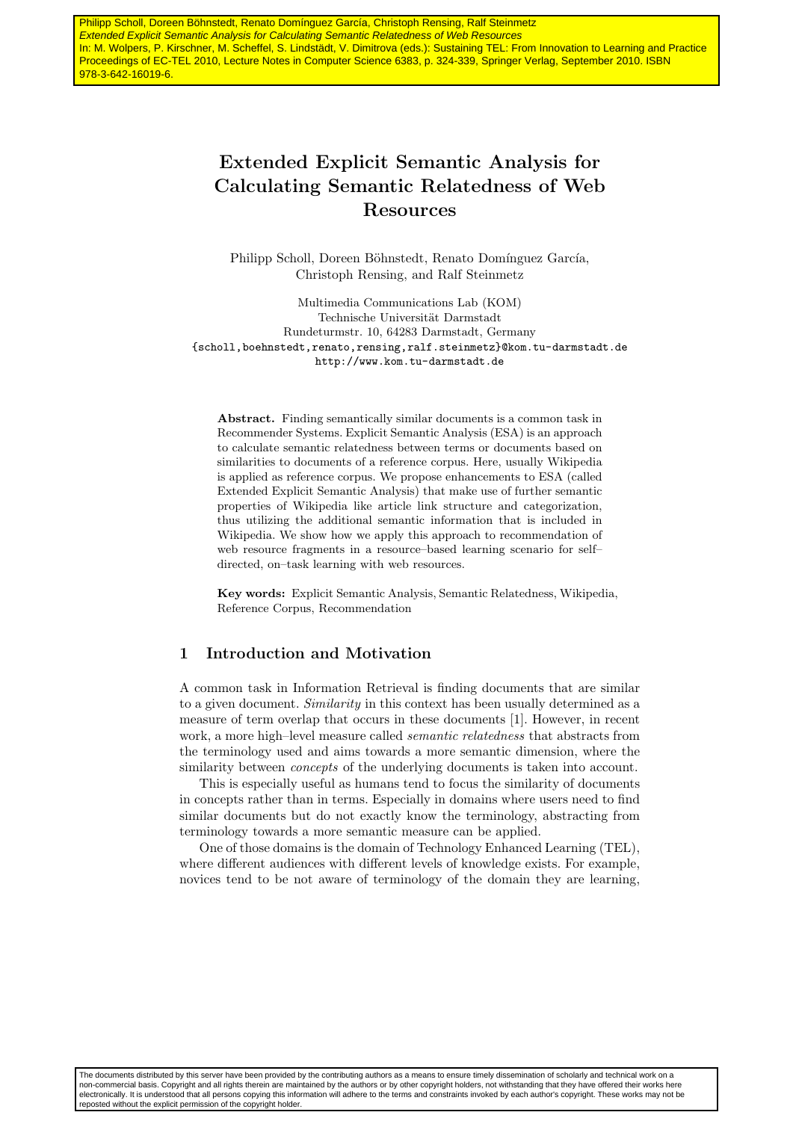Philipp Scholl, Doreen Böhnstedt, Renato Domínguez García, Christoph Rensing, Ralf Steinmetz Extended Explicit Semantic Analysis for Calculating Semantic Relatedness of Web Resources In: M. Wolpers, P. Kirschner, M. Scheffel, S. Lindstädt, V. Dimitrova (eds.): Sustaining TEL: From Innovation to Learning and Practice Proceedings of EC-TEL 2010, Lecture Notes in Computer Science 6383, p. 324-339, Springer Verlag, September 2010. ISBN 978-3-642-16019-6.

# Extended Explicit Semantic Analysis for Calculating Semantic Relatedness of Web Resources

Philipp Scholl, Doreen Böhnstedt, Renato Domínguez García, Christoph Rensing, and Ralf Steinmetz

Multimedia Communications Lab (KOM) Technische Universität Darmstadt Rundeturmstr. 10, 64283 Darmstadt, Germany {scholl,boehnstedt,renato,rensing,ralf.steinmetz}@kom.tu-darmstadt.de http://www.kom.tu-darmstadt.de

Abstract. Finding semantically similar documents is a common task in Recommender Systems. Explicit Semantic Analysis (ESA) is an approach to calculate semantic relatedness between terms or documents based on similarities to documents of a reference corpus. Here, usually Wikipedia is applied as reference corpus. We propose enhancements to ESA (called Extended Explicit Semantic Analysis) that make use of further semantic properties of Wikipedia like article link structure and categorization, thus utilizing the additional semantic information that is included in Wikipedia. We show how we apply this approach to recommendation of web resource fragments in a resource–based learning scenario for self– directed, on–task learning with web resources.

Key words: Explicit Semantic Analysis, Semantic Relatedness, Wikipedia, Reference Corpus, Recommendation

# 1 Introduction and Motivation

A common task in Information Retrieval is finding documents that are similar to a given document. Similarity in this context has been usually determined as a measure of term overlap that occurs in these documents [1]. However, in recent work, a more high–level measure called *semantic relatedness* that abstracts from the terminology used and aims towards a more semantic dimension, where the similarity between *concepts* of the underlying documents is taken into account.

This is especially useful as humans tend to focus the similarity of documents in concepts rather than in terms. Especially in domains where users need to find similar documents but do not exactly know the terminology, abstracting from terminology towards a more semantic measure can be applied.

One of those domains is the domain of Technology Enhanced Learning (TEL), where different audiences with different levels of knowledge exists. For example, novices tend to be not aware of terminology of the domain they are learning,

The documents distributed by this server have been provided by the contributing authors as a means to ensure timely dissemination of scholarly and technical work on a non-commercial basis. Copyright and all rights therein are maintained by the authors or by other copyright holders, not withstanding that they have offered their works here electronically. It is understood that all persons copying this information will adhere to the terms and constraints invoked by each author's copyright. These works may not be reposted without the explicit permission of the copyright holder.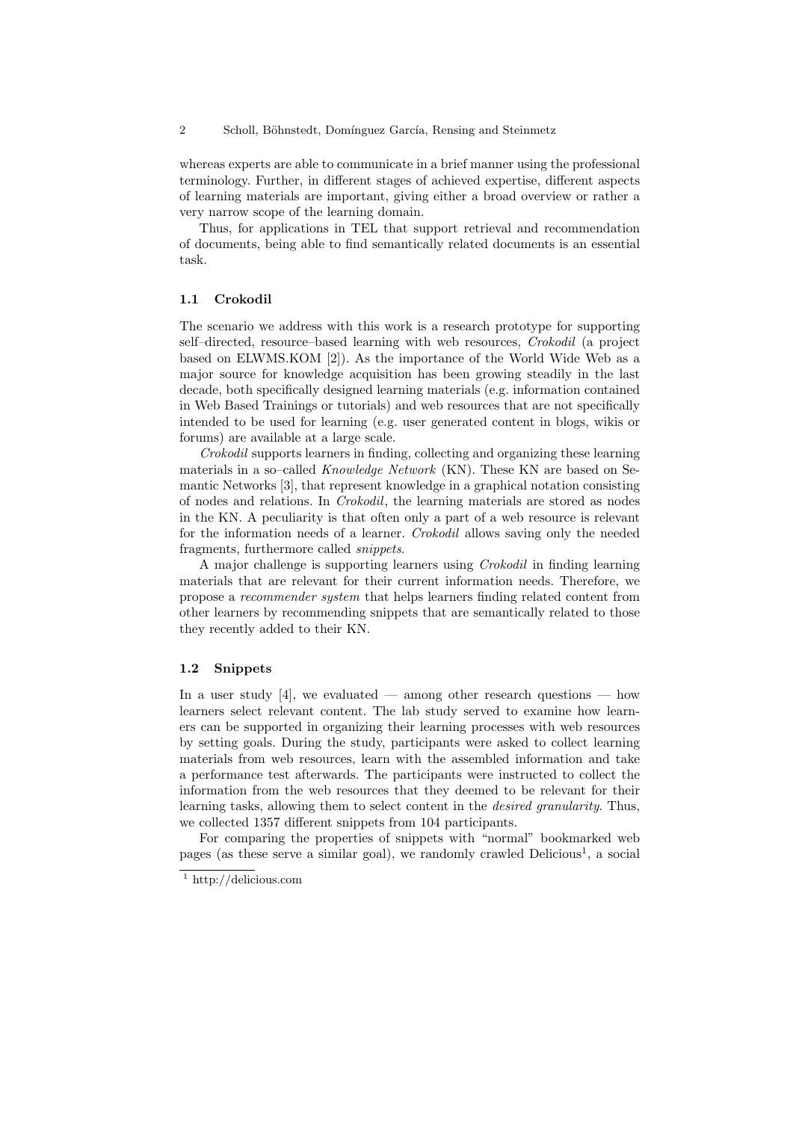whereas experts are able to communicate in a brief manner using the professional terminology. Further, in different stages of achieved expertise, different aspects of learning materials are important, giving either a broad overview or rather a very narrow scope of the learning domain.

Thus, for applications in TEL that support retrieval and recommendation of documents, being able to find semantically related documents is an essential task.

# 1.1 Crokodil

The scenario we address with this work is a research prototype for supporting self–directed, resource–based learning with web resources, Crokodil (a project based on ELWMS.KOM [2]). As the importance of the World Wide Web as a major source for knowledge acquisition has been growing steadily in the last decade, both specifically designed learning materials (e.g. information contained in Web Based Trainings or tutorials) and web resources that are not specifically intended to be used for learning (e.g. user generated content in blogs, wikis or forums) are available at a large scale.

Crokodil supports learners in finding, collecting and organizing these learning materials in a so–called Knowledge Network (KN). These KN are based on Semantic Networks [3], that represent knowledge in a graphical notation consisting of nodes and relations. In Crokodil, the learning materials are stored as nodes in the KN. A peculiarity is that often only a part of a web resource is relevant for the information needs of a learner. Crokodil allows saving only the needed fragments, furthermore called snippets.

A major challenge is supporting learners using Crokodil in finding learning materials that are relevant for their current information needs. Therefore, we propose a recommender system that helps learners finding related content from other learners by recommending snippets that are semantically related to those they recently added to their KN.

## 1.2 Snippets

In a user study [4], we evaluated — among other research questions — how learners select relevant content. The lab study served to examine how learners can be supported in organizing their learning processes with web resources by setting goals. During the study, participants were asked to collect learning materials from web resources, learn with the assembled information and take a performance test afterwards. The participants were instructed to collect the information from the web resources that they deemed to be relevant for their learning tasks, allowing them to select content in the desired granularity. Thus, we collected 1357 different snippets from 104 participants.

For comparing the properties of snippets with "normal" bookmarked web pages (as these serve a similar goal), we randomly crawled Delicious<sup>1</sup>, a social

<sup>1</sup> http://delicious.com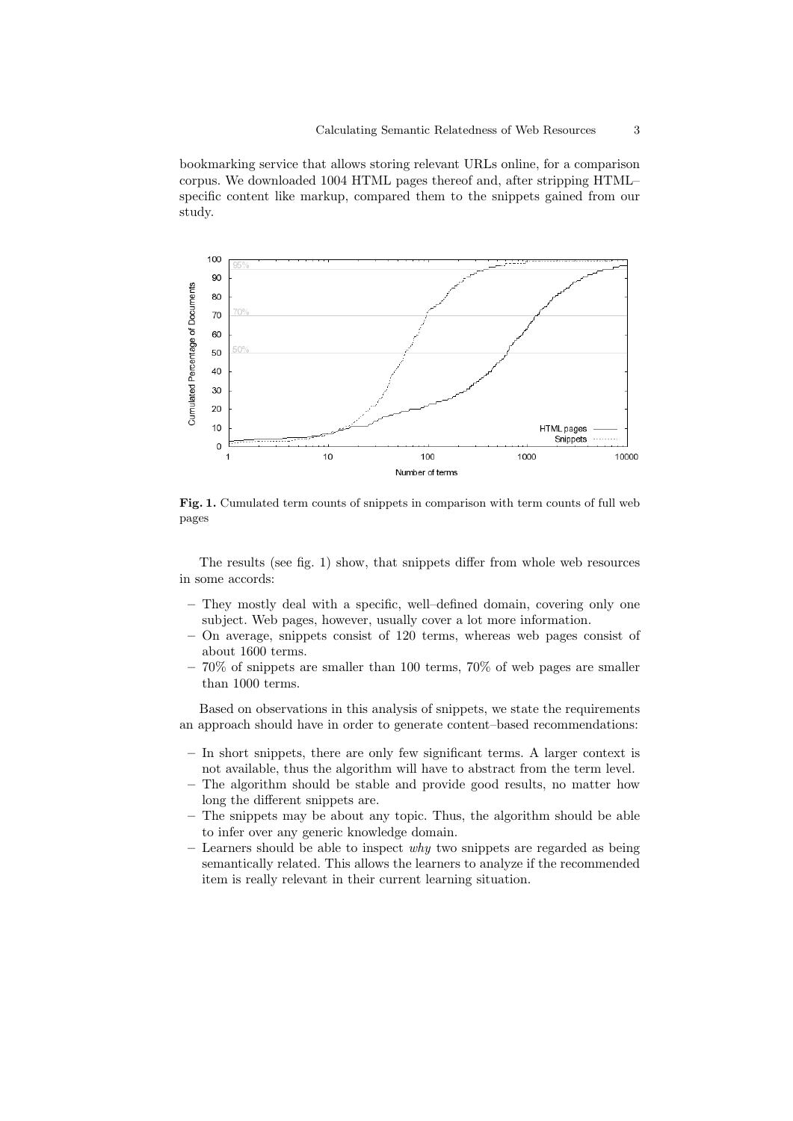bookmarking service that allows storing relevant URLs online, for a comparison corpus. We downloaded 1004 HTML pages thereof and, after stripping HTML– specific content like markup, compared them to the snippets gained from our study.



Fig. 1. Cumulated term counts of snippets in comparison with term counts of full web pages

The results (see fig. 1) show, that snippets differ from whole web resources in some accords:

- They mostly deal with a specific, well–defined domain, covering only one subject. Web pages, however, usually cover a lot more information.
- On average, snippets consist of 120 terms, whereas web pages consist of about 1600 terms.
- $-70\%$  of snippets are smaller than 100 terms, 70% of web pages are smaller than 1000 terms.

Based on observations in this analysis of snippets, we state the requirements an approach should have in order to generate content–based recommendations:

- In short snippets, there are only few significant terms. A larger context is not available, thus the algorithm will have to abstract from the term level.
- The algorithm should be stable and provide good results, no matter how long the different snippets are.
- The snippets may be about any topic. Thus, the algorithm should be able to infer over any generic knowledge domain.
- $-$  Learners should be able to inspect why two snippets are regarded as being semantically related. This allows the learners to analyze if the recommended item is really relevant in their current learning situation.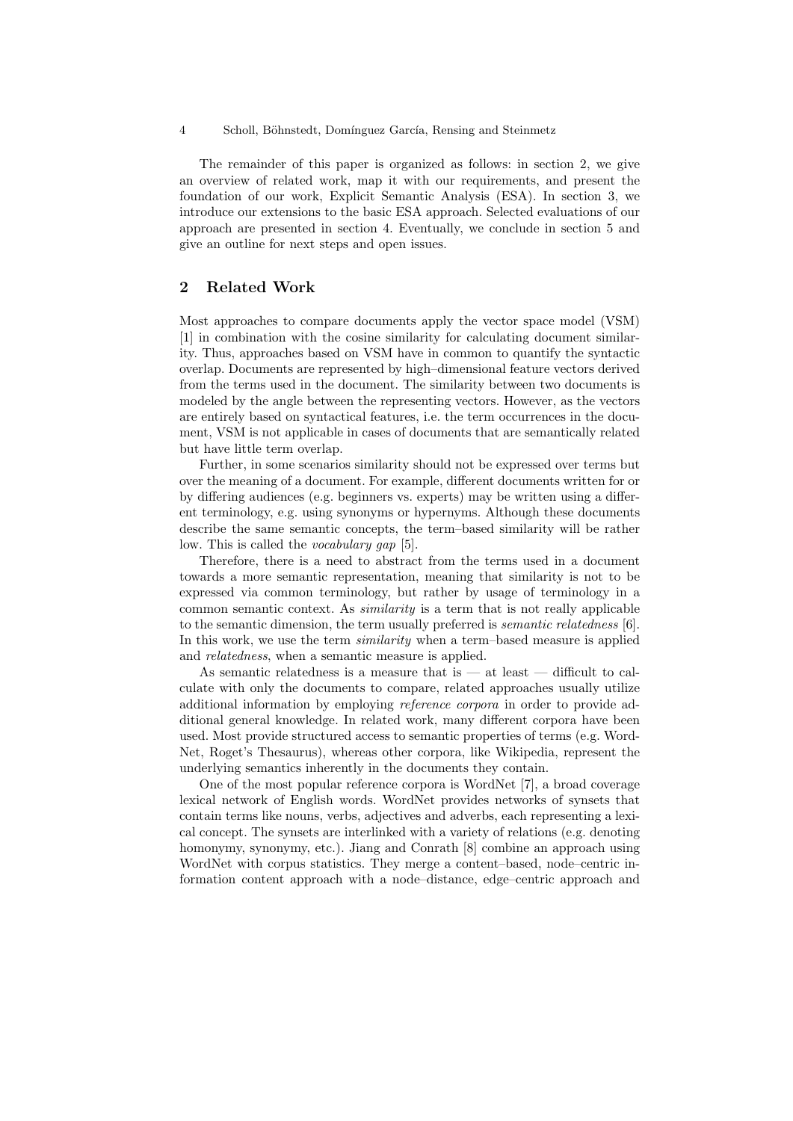The remainder of this paper is organized as follows: in section 2, we give an overview of related work, map it with our requirements, and present the foundation of our work, Explicit Semantic Analysis (ESA). In section 3, we introduce our extensions to the basic ESA approach. Selected evaluations of our approach are presented in section 4. Eventually, we conclude in section 5 and give an outline for next steps and open issues.

# 2 Related Work

Most approaches to compare documents apply the vector space model (VSM) [1] in combination with the cosine similarity for calculating document similarity. Thus, approaches based on VSM have in common to quantify the syntactic overlap. Documents are represented by high–dimensional feature vectors derived from the terms used in the document. The similarity between two documents is modeled by the angle between the representing vectors. However, as the vectors are entirely based on syntactical features, i.e. the term occurrences in the document, VSM is not applicable in cases of documents that are semantically related but have little term overlap.

Further, in some scenarios similarity should not be expressed over terms but over the meaning of a document. For example, different documents written for or by differing audiences (e.g. beginners vs. experts) may be written using a different terminology, e.g. using synonyms or hypernyms. Although these documents describe the same semantic concepts, the term–based similarity will be rather low. This is called the *vocabulary gap* [5].

Therefore, there is a need to abstract from the terms used in a document towards a more semantic representation, meaning that similarity is not to be expressed via common terminology, but rather by usage of terminology in a common semantic context. As similarity is a term that is not really applicable to the semantic dimension, the term usually preferred is semantic relatedness [6]. In this work, we use the term *similarity* when a term–based measure is applied and relatedness, when a semantic measure is applied.

As semantic relatedness is a measure that is — at least — difficult to calculate with only the documents to compare, related approaches usually utilize additional information by employing reference corpora in order to provide additional general knowledge. In related work, many different corpora have been used. Most provide structured access to semantic properties of terms (e.g. Word-Net, Roget's Thesaurus), whereas other corpora, like Wikipedia, represent the underlying semantics inherently in the documents they contain.

One of the most popular reference corpora is WordNet [7], a broad coverage lexical network of English words. WordNet provides networks of synsets that contain terms like nouns, verbs, adjectives and adverbs, each representing a lexical concept. The synsets are interlinked with a variety of relations (e.g. denoting homonymy, synonymy, etc.). Jiang and Conrath [8] combine an approach using WordNet with corpus statistics. They merge a content–based, node–centric information content approach with a node–distance, edge–centric approach and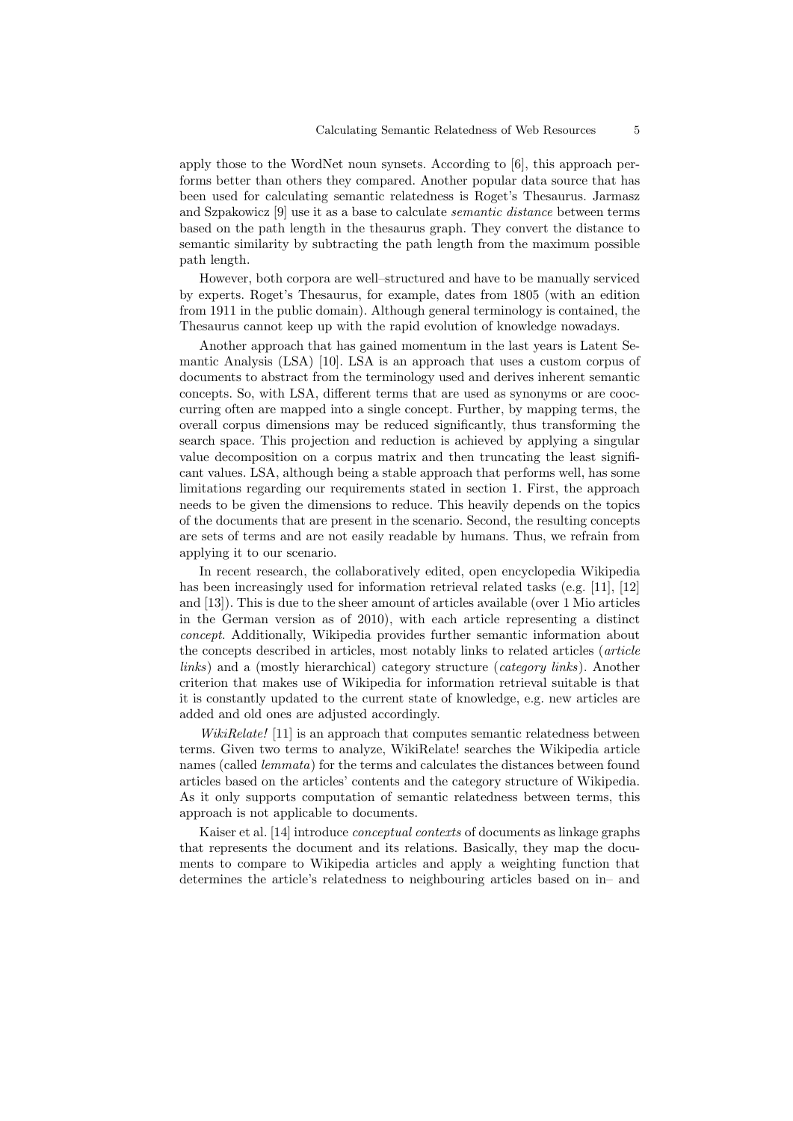apply those to the WordNet noun synsets. According to [6], this approach performs better than others they compared. Another popular data source that has been used for calculating semantic relatedness is Roget's Thesaurus. Jarmasz and Szpakowicz [9] use it as a base to calculate semantic distance between terms based on the path length in the thesaurus graph. They convert the distance to semantic similarity by subtracting the path length from the maximum possible path length.

However, both corpora are well–structured and have to be manually serviced by experts. Roget's Thesaurus, for example, dates from 1805 (with an edition from 1911 in the public domain). Although general terminology is contained, the Thesaurus cannot keep up with the rapid evolution of knowledge nowadays.

Another approach that has gained momentum in the last years is Latent Semantic Analysis (LSA) [10]. LSA is an approach that uses a custom corpus of documents to abstract from the terminology used and derives inherent semantic concepts. So, with LSA, different terms that are used as synonyms or are cooccurring often are mapped into a single concept. Further, by mapping terms, the overall corpus dimensions may be reduced significantly, thus transforming the search space. This projection and reduction is achieved by applying a singular value decomposition on a corpus matrix and then truncating the least significant values. LSA, although being a stable approach that performs well, has some limitations regarding our requirements stated in section 1. First, the approach needs to be given the dimensions to reduce. This heavily depends on the topics of the documents that are present in the scenario. Second, the resulting concepts are sets of terms and are not easily readable by humans. Thus, we refrain from applying it to our scenario.

In recent research, the collaboratively edited, open encyclopedia Wikipedia has been increasingly used for information retrieval related tasks (e.g. [11], [12] and [13]). This is due to the sheer amount of articles available (over 1 Mio articles in the German version as of 2010), with each article representing a distinct concept. Additionally, Wikipedia provides further semantic information about the concepts described in articles, most notably links to related articles (article links) and a (mostly hierarchical) category structure (category links). Another criterion that makes use of Wikipedia for information retrieval suitable is that it is constantly updated to the current state of knowledge, e.g. new articles are added and old ones are adjusted accordingly.

WikiRelate! [11] is an approach that computes semantic relatedness between terms. Given two terms to analyze, WikiRelate! searches the Wikipedia article names (called *lemmata*) for the terms and calculates the distances between found articles based on the articles' contents and the category structure of Wikipedia. As it only supports computation of semantic relatedness between terms, this approach is not applicable to documents.

Kaiser et al. [14] introduce conceptual contexts of documents as linkage graphs that represents the document and its relations. Basically, they map the documents to compare to Wikipedia articles and apply a weighting function that determines the article's relatedness to neighbouring articles based on in– and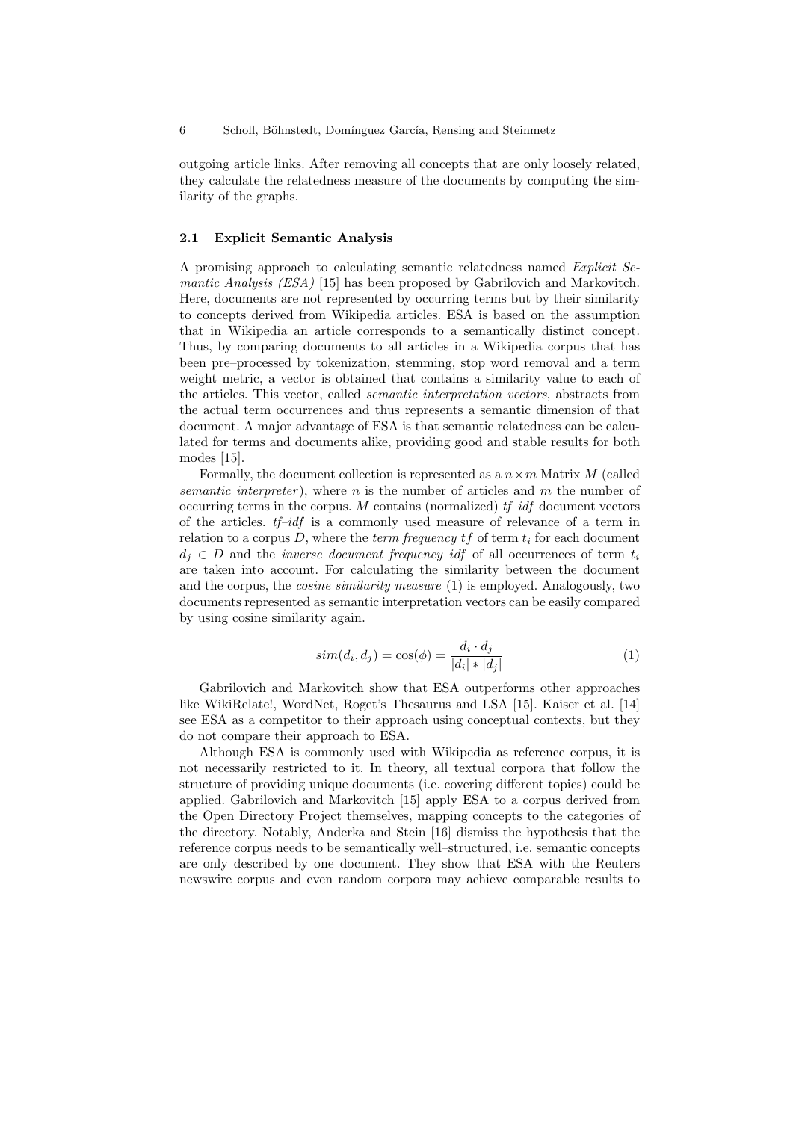outgoing article links. After removing all concepts that are only loosely related, they calculate the relatedness measure of the documents by computing the similarity of the graphs.

## 2.1 Explicit Semantic Analysis

A promising approach to calculating semantic relatedness named Explicit Semantic Analysis (ESA) [15] has been proposed by Gabrilovich and Markovitch. Here, documents are not represented by occurring terms but by their similarity to concepts derived from Wikipedia articles. ESA is based on the assumption that in Wikipedia an article corresponds to a semantically distinct concept. Thus, by comparing documents to all articles in a Wikipedia corpus that has been pre–processed by tokenization, stemming, stop word removal and a term weight metric, a vector is obtained that contains a similarity value to each of the articles. This vector, called semantic interpretation vectors, abstracts from the actual term occurrences and thus represents a semantic dimension of that document. A major advantage of ESA is that semantic relatedness can be calculated for terms and documents alike, providing good and stable results for both modes [15].

Formally, the document collection is represented as a  $n \times m$  Matrix M (called semantic interpreter), where  $n$  is the number of articles and  $m$  the number of occurring terms in the corpus. M contains (normalized)  $tf-idf$  document vectors of the articles.  $tf$ -idf is a commonly used measure of relevance of a term in relation to a corpus  $D$ , where the *term frequency tf* of term  $t_i$  for each document  $d_i \in D$  and the *inverse document frequency idf* of all occurrences of term  $t_i$ are taken into account. For calculating the similarity between the document and the corpus, the *cosine similarity measure* (1) is employed. Analogously, two documents represented as semantic interpretation vectors can be easily compared by using cosine similarity again.

$$
sim(d_i, d_j) = \cos(\phi) = \frac{d_i \cdot d_j}{|d_i| * |d_j|} \tag{1}
$$

Gabrilovich and Markovitch show that ESA outperforms other approaches like WikiRelate!, WordNet, Roget's Thesaurus and LSA [15]. Kaiser et al. [14] see ESA as a competitor to their approach using conceptual contexts, but they do not compare their approach to ESA.

Although ESA is commonly used with Wikipedia as reference corpus, it is not necessarily restricted to it. In theory, all textual corpora that follow the structure of providing unique documents (i.e. covering different topics) could be applied. Gabrilovich and Markovitch [15] apply ESA to a corpus derived from the Open Directory Project themselves, mapping concepts to the categories of the directory. Notably, Anderka and Stein [16] dismiss the hypothesis that the reference corpus needs to be semantically well–structured, i.e. semantic concepts are only described by one document. They show that ESA with the Reuters newswire corpus and even random corpora may achieve comparable results to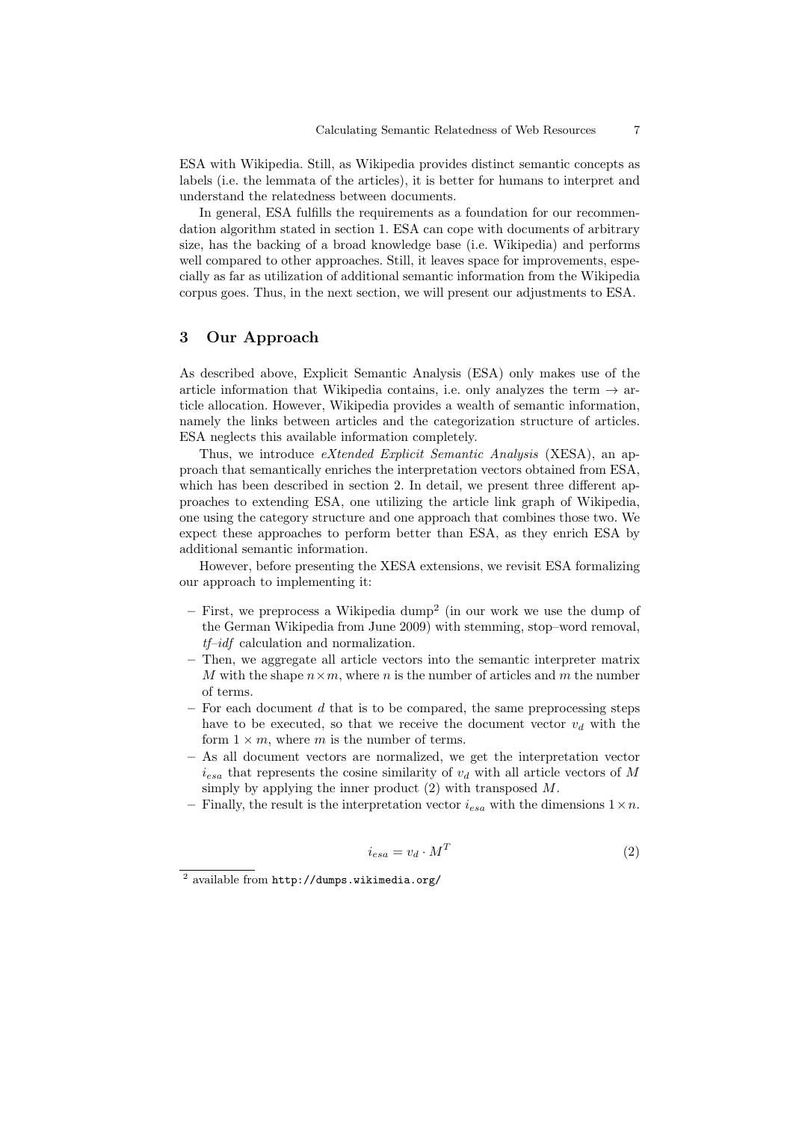ESA with Wikipedia. Still, as Wikipedia provides distinct semantic concepts as labels (i.e. the lemmata of the articles), it is better for humans to interpret and understand the relatedness between documents.

In general, ESA fulfills the requirements as a foundation for our recommendation algorithm stated in section 1. ESA can cope with documents of arbitrary size, has the backing of a broad knowledge base (i.e. Wikipedia) and performs well compared to other approaches. Still, it leaves space for improvements, especially as far as utilization of additional semantic information from the Wikipedia corpus goes. Thus, in the next section, we will present our adjustments to ESA.

# 3 Our Approach

As described above, Explicit Semantic Analysis (ESA) only makes use of the article information that Wikipedia contains, i.e. only analyzes the term  $\rightarrow$  article allocation. However, Wikipedia provides a wealth of semantic information, namely the links between articles and the categorization structure of articles. ESA neglects this available information completely.

Thus, we introduce *eXtended Explicit Semantic Analysis* (XESA), an approach that semantically enriches the interpretation vectors obtained from ESA, which has been described in section 2. In detail, we present three different approaches to extending ESA, one utilizing the article link graph of Wikipedia, one using the category structure and one approach that combines those two. We expect these approaches to perform better than ESA, as they enrich ESA by additional semantic information.

However, before presenting the XESA extensions, we revisit ESA formalizing our approach to implementing it:

- First, we preprocess a Wikipedia dump<sup>2</sup> (in our work we use the dump of the German Wikipedia from June 2009) with stemming, stop–word removal, tf–idf calculation and normalization.
- Then, we aggregate all article vectors into the semantic interpreter matrix M with the shape  $n \times m$ , where n is the number of articles and m the number of terms.
- $-$  For each document  $d$  that is to be compared, the same preprocessing steps have to be executed, so that we receive the document vector  $v<sub>d</sub>$  with the form  $1 \times m$ , where m is the number of terms.
- As all document vectors are normalized, we get the interpretation vector  $i_{esa}$  that represents the cosine similarity of  $v_d$  with all article vectors of M simply by applying the inner product  $(2)$  with transposed  $M$ .
- Finally, the result is the interpretation vector  $i_{esa}$  with the dimensions  $1 \times n$ .

$$
i_{esa} = v_d \cdot M^T \tag{2}
$$

 $^2$  available from  $\texttt{http://dumps.wikimedia.org/}$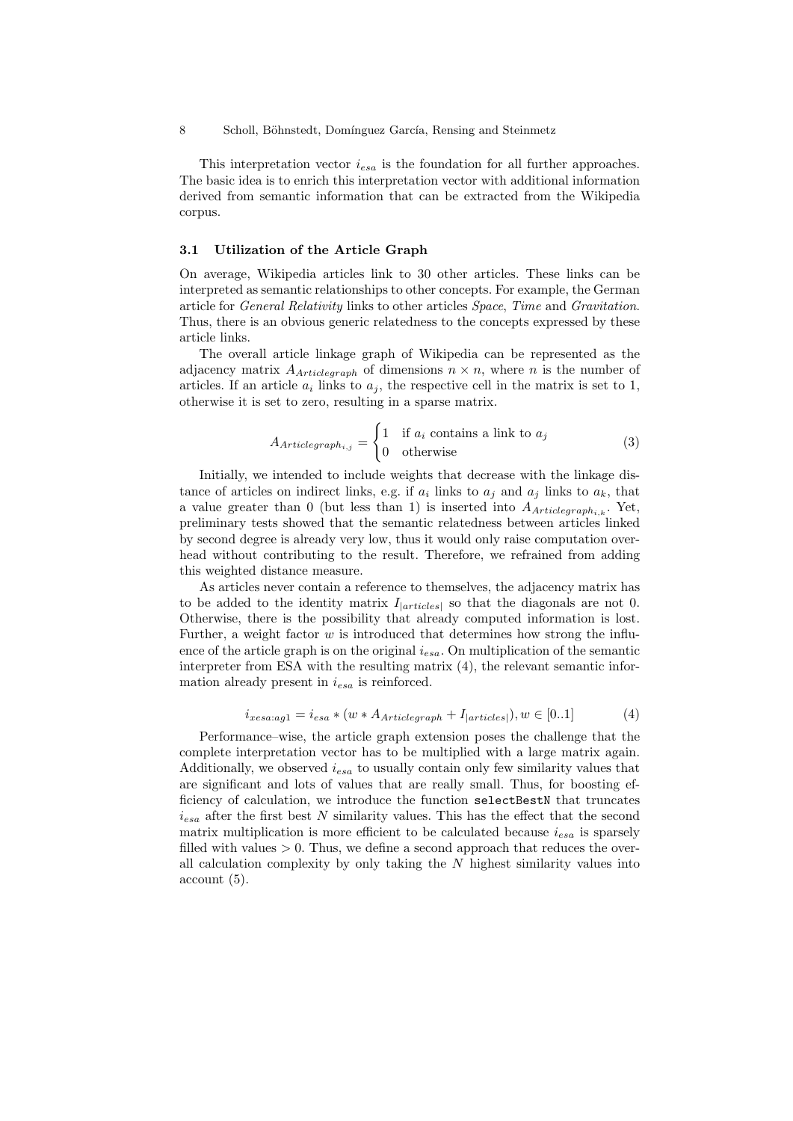This interpretation vector  $i_{esa}$  is the foundation for all further approaches. The basic idea is to enrich this interpretation vector with additional information derived from semantic information that can be extracted from the Wikipedia corpus.

#### 3.1 Utilization of the Article Graph

On average, Wikipedia articles link to 30 other articles. These links can be interpreted as semantic relationships to other concepts. For example, the German article for General Relativity links to other articles Space, Time and Gravitation. Thus, there is an obvious generic relatedness to the concepts expressed by these article links.

The overall article linkage graph of Wikipedia can be represented as the adjacency matrix  $A_{Article graph}$  of dimensions  $n \times n$ , where n is the number of articles. If an article  $a_i$  links to  $a_j$ , the respective cell in the matrix is set to 1, otherwise it is set to zero, resulting in a sparse matrix.

$$
A_{Articlegraph_{i,j}} = \begin{cases} 1 & \text{if } a_i \text{ contains a link to } a_j \\ 0 & \text{otherwise} \end{cases}
$$
 (3)

Initially, we intended to include weights that decrease with the linkage distance of articles on indirect links, e.g. if  $a_i$  links to  $a_j$  and  $a_j$  links to  $a_k$ , that a value greater than 0 (but less than 1) is inserted into  $A_{Articlegraph_{i,k}}$ . Yet, preliminary tests showed that the semantic relatedness between articles linked by second degree is already very low, thus it would only raise computation overhead without contributing to the result. Therefore, we refrained from adding this weighted distance measure.

As articles never contain a reference to themselves, the adjacency matrix has to be added to the identity matrix  $I_{\text{|\textit{articles}|}}$  so that the diagonals are not 0. Otherwise, there is the possibility that already computed information is lost. Further, a weight factor  $w$  is introduced that determines how strong the influence of the article graph is on the original  $i_{esa}$ . On multiplication of the semantic interpreter from ESA with the resulting matrix (4), the relevant semantic information already present in  $i_{esa}$  is reinforced.

$$
i_{xesa:ag1} = i_{esa} * (w * A_{Article graph} + I_{|articles|}), w \in [0..1]
$$
 (4)

Performance–wise, the article graph extension poses the challenge that the complete interpretation vector has to be multiplied with a large matrix again. Additionally, we observed  $i_{esa}$  to usually contain only few similarity values that are significant and lots of values that are really small. Thus, for boosting efficiency of calculation, we introduce the function selectBestN that truncates  $i_{esa}$  after the first best N similarity values. This has the effect that the second matrix multiplication is more efficient to be calculated because  $i_{esa}$  is sparsely filled with values  $> 0$ . Thus, we define a second approach that reduces the overall calculation complexity by only taking the  $N$  highest similarity values into account (5).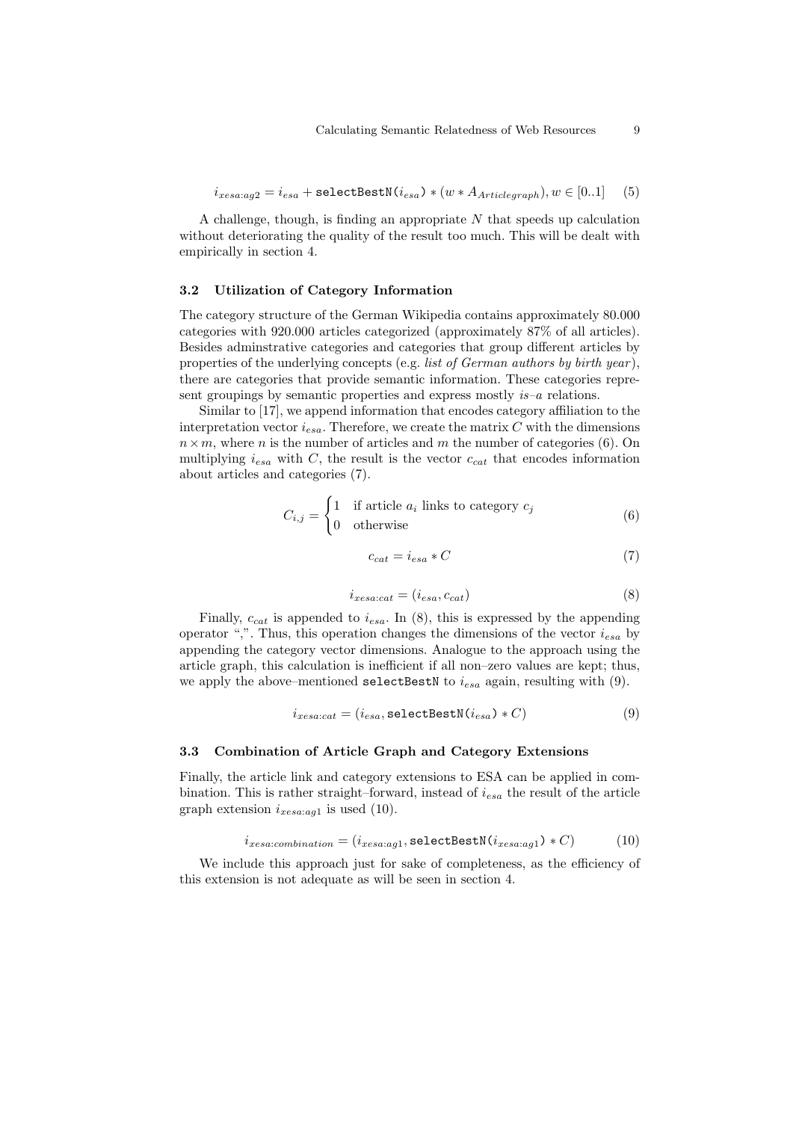$$
i_{xesa:ag2} = i_{esa} + \mathtt{selectBestN}(i_{esa}) * (w * A_{Articlegraph}), w \in [0..1]
$$
 (5)

A challenge, though, is finding an appropriate N that speeds up calculation without deteriorating the quality of the result too much. This will be dealt with empirically in section 4.

## 3.2 Utilization of Category Information

The category structure of the German Wikipedia contains approximately 80.000 categories with 920.000 articles categorized (approximately 87% of all articles). Besides adminstrative categories and categories that group different articles by properties of the underlying concepts (e.g. list of German authors by birth year ), there are categories that provide semantic information. These categories represent groupings by semantic properties and express mostly  $is-a$  relations.

Similar to [17], we append information that encodes category affiliation to the interpretation vector  $i_{esa}$ . Therefore, we create the matrix C with the dimensions  $n \times m$ , where *n* is the number of articles and *m* the number of categories (6). On multiplying  $i_{esa}$  with C, the result is the vector  $c_{cat}$  that encodes information about articles and categories (7).

$$
C_{i,j} = \begin{cases} 1 & \text{if article } a_i \text{ links to category } c_j \\ 0 & \text{otherwise} \end{cases}
$$
 (6)

$$
c_{cat} = i_{esa} * C \tag{7}
$$

$$
i_{xesa:cat} = (i_{esa}, c_{cat})
$$
\n<sup>(8)</sup>

Finally,  $c_{cat}$  is appended to  $i_{esa}$ . In (8), this is expressed by the appending operator ",". Thus, this operation changes the dimensions of the vector  $i_{esa}$  by appending the category vector dimensions. Analogue to the approach using the article graph, this calculation is inefficient if all non–zero values are kept; thus, we apply the above–mentioned selectBestN to  $i_{esa}$  again, resulting with (9).

$$
i_{xesa:cat} = (i_{esa}, \mathtt{selectBestN}(i_{esa}) * C) \tag{9}
$$

#### 3.3 Combination of Article Graph and Category Extensions

Finally, the article link and category extensions to ESA can be applied in combination. This is rather straight–forward, instead of  $i_{esa}$  the result of the article graph extension  $i_{resa:aa1}$  is used (10).

$$
i_{xesa:combination} = (i_{xesa:ag1}, \texttt{selectBestN}(i_{xesa:ag1}) * C) \tag{10}
$$

We include this approach just for sake of completeness, as the efficiency of this extension is not adequate as will be seen in section 4.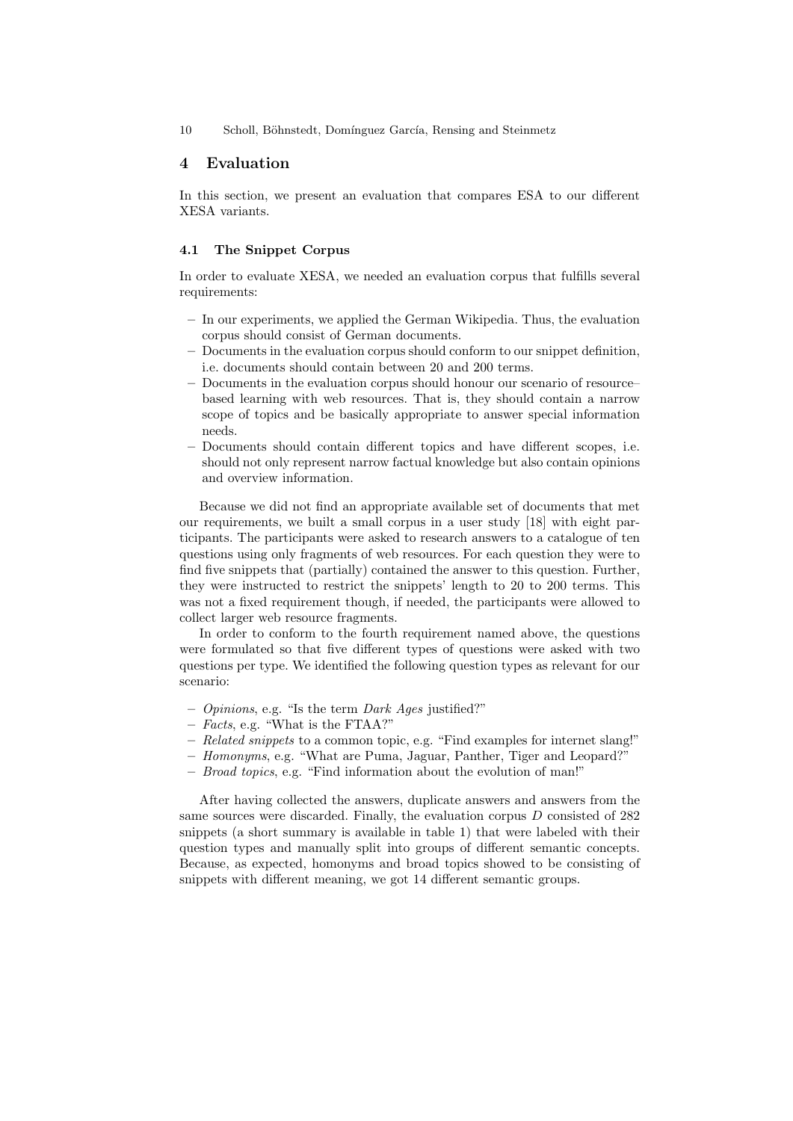# 4 Evaluation

In this section, we present an evaluation that compares ESA to our different XESA variants.

## 4.1 The Snippet Corpus

In order to evaluate XESA, we needed an evaluation corpus that fulfills several requirements:

- In our experiments, we applied the German Wikipedia. Thus, the evaluation corpus should consist of German documents.
- Documents in the evaluation corpus should conform to our snippet definition, i.e. documents should contain between 20 and 200 terms.
- Documents in the evaluation corpus should honour our scenario of resource– based learning with web resources. That is, they should contain a narrow scope of topics and be basically appropriate to answer special information needs.
- Documents should contain different topics and have different scopes, i.e. should not only represent narrow factual knowledge but also contain opinions and overview information.

Because we did not find an appropriate available set of documents that met our requirements, we built a small corpus in a user study [18] with eight participants. The participants were asked to research answers to a catalogue of ten questions using only fragments of web resources. For each question they were to find five snippets that (partially) contained the answer to this question. Further, they were instructed to restrict the snippets' length to 20 to 200 terms. This was not a fixed requirement though, if needed, the participants were allowed to collect larger web resource fragments.

In order to conform to the fourth requirement named above, the questions were formulated so that five different types of questions were asked with two questions per type. We identified the following question types as relevant for our scenario:

- *Opinions*, e.g. "Is the term *Dark Ages* justified?"
- $-$  *Facts*, e.g. "What is the FTAA?"
- Related snippets to a common topic, e.g. "Find examples for internet slang!"
- Homonyms, e.g. "What are Puma, Jaguar, Panther, Tiger and Leopard?"
- Broad topics, e.g. "Find information about the evolution of man!"

After having collected the answers, duplicate answers and answers from the same sources were discarded. Finally, the evaluation corpus  $D$  consisted of 282 snippets (a short summary is available in table 1) that were labeled with their question types and manually split into groups of different semantic concepts. Because, as expected, homonyms and broad topics showed to be consisting of snippets with different meaning, we got 14 different semantic groups.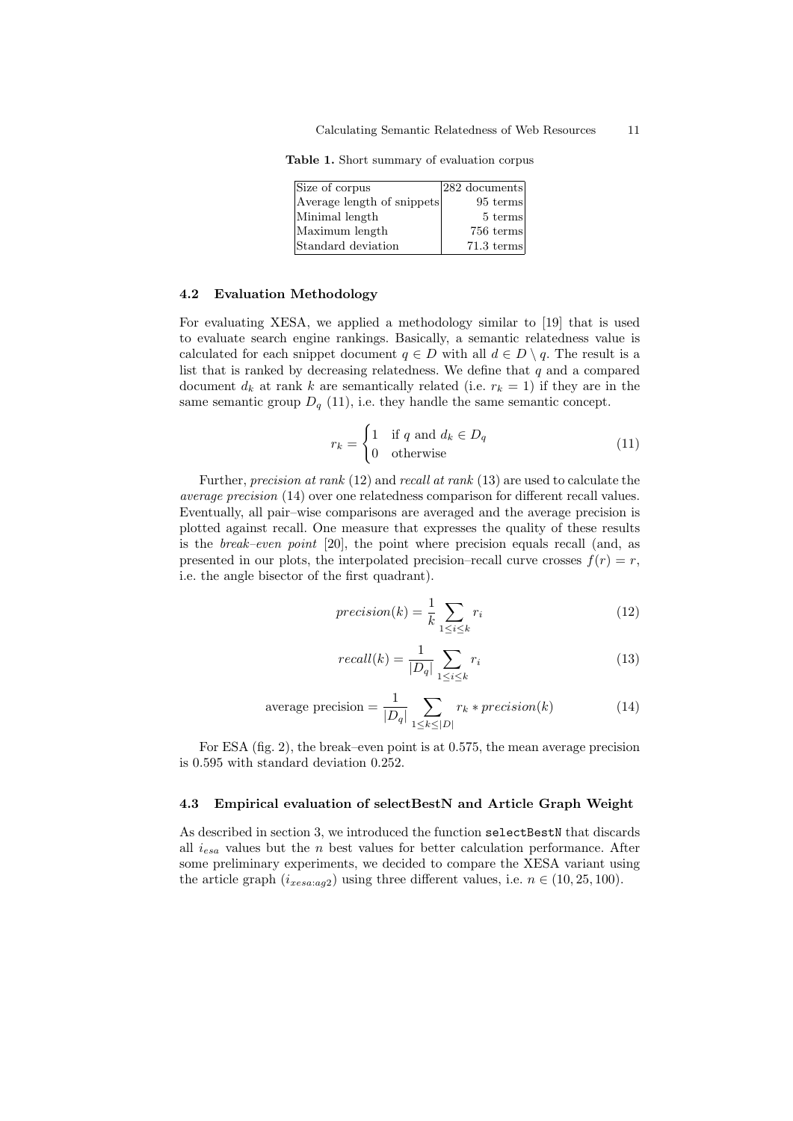Table 1. Short summary of evaluation corpus

| Size of corpus             | 282 documents |
|----------------------------|---------------|
| Average length of snippets | 95 terms      |
| Minimal length             | 5 terms       |
| Maximum length             | 756 terms     |
| Standard deviation         | $71.3$ terms  |

#### 4.2 Evaluation Methodology

For evaluating XESA, we applied a methodology similar to [19] that is used to evaluate search engine rankings. Basically, a semantic relatedness value is calculated for each snippet document  $q \in D$  with all  $d \in D \setminus q$ . The result is a list that is ranked by decreasing relatedness. We define that  $q$  and a compared document  $d_k$  at rank k are semantically related (i.e.  $r_k = 1$ ) if they are in the same semantic group  $D_q$  (11), i.e. they handle the same semantic concept.

$$
r_k = \begin{cases} 1 & \text{if } q \text{ and } d_k \in D_q \\ 0 & \text{otherwise} \end{cases} \tag{11}
$$

Further, precision at rank (12) and recall at rank (13) are used to calculate the average precision (14) over one relatedness comparison for different recall values. Eventually, all pair–wise comparisons are averaged and the average precision is plotted against recall. One measure that expresses the quality of these results is the break–even point [20], the point where precision equals recall (and, as presented in our plots, the interpolated precision–recall curve crosses  $f(r) = r$ , i.e. the angle bisector of the first quadrant).

$$
precision(k) = \frac{1}{k} \sum_{1 \le i \le k} r_i
$$
\n(12)

$$
recall(k) = \frac{1}{|D_q|} \sum_{1 \le i \le k} r_i
$$
\n(13)

average precision = 
$$
\frac{1}{|D_q|} \sum_{1 \le k \le |D|} r_k * precision(k)
$$
 (14)

For ESA (fig. 2), the break–even point is at 0.575, the mean average precision is 0.595 with standard deviation 0.252.

## 4.3 Empirical evaluation of selectBestN and Article Graph Weight

As described in section 3, we introduced the function selectBestN that discards all  $i_{esa}$  values but the *n* best values for better calculation performance. After some preliminary experiments, we decided to compare the XESA variant using the article graph  $(i_{xesa:ag2})$  using three different values, i.e.  $n \in (10, 25, 100)$ .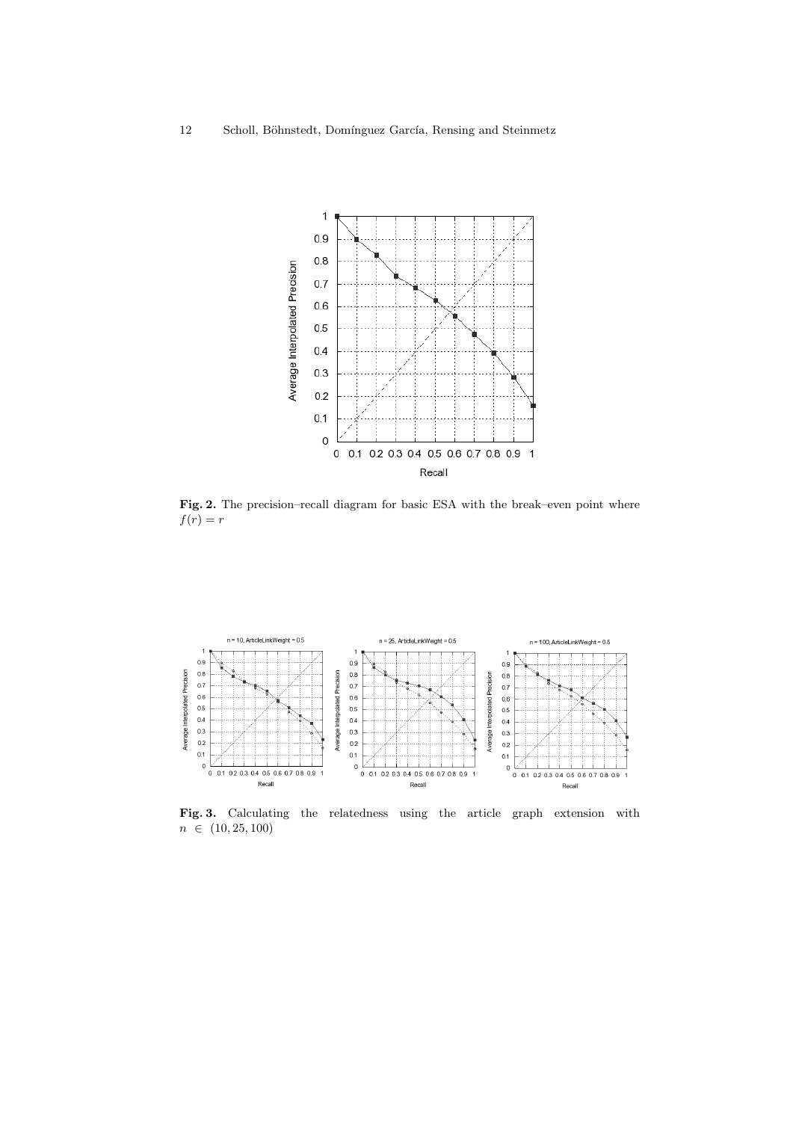

Fig. 2. The precision–recall diagram for basic ESA with the break–even point where  $f(r) = r$ 



Fig. 3. Calculating the relatedness using the article graph extension with  $n \in (10, 25, 100)$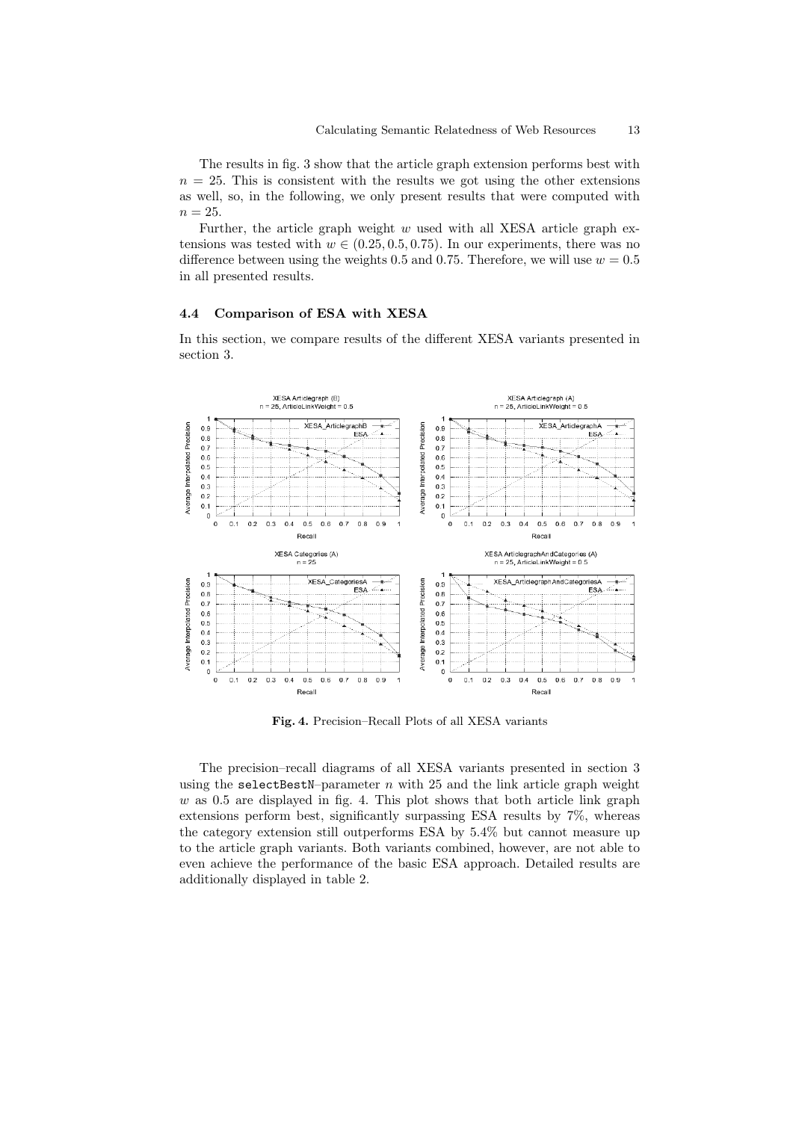The results in fig. 3 show that the article graph extension performs best with  $n = 25$ . This is consistent with the results we got using the other extensions as well, so, in the following, we only present results that were computed with  $n = 25$ .

Further, the article graph weight  $w$  used with all XESA article graph extensions was tested with  $w \in (0.25, 0.5, 0.75)$ . In our experiments, there was no difference between using the weights 0.5 and 0.75. Therefore, we will use  $w = 0.5$ in all presented results.

# 4.4 Comparison of ESA with XESA

In this section, we compare results of the different XESA variants presented in section 3.



Fig. 4. Precision–Recall Plots of all XESA variants

The precision–recall diagrams of all XESA variants presented in section 3 using the selectBestN–parameter  $n$  with 25 and the link article graph weight  $w$  as 0.5 are displayed in fig. 4. This plot shows that both article link graph extensions perform best, significantly surpassing ESA results by 7%, whereas the category extension still outperforms ESA by 5.4% but cannot measure up to the article graph variants. Both variants combined, however, are not able to even achieve the performance of the basic ESA approach. Detailed results are additionally displayed in table 2.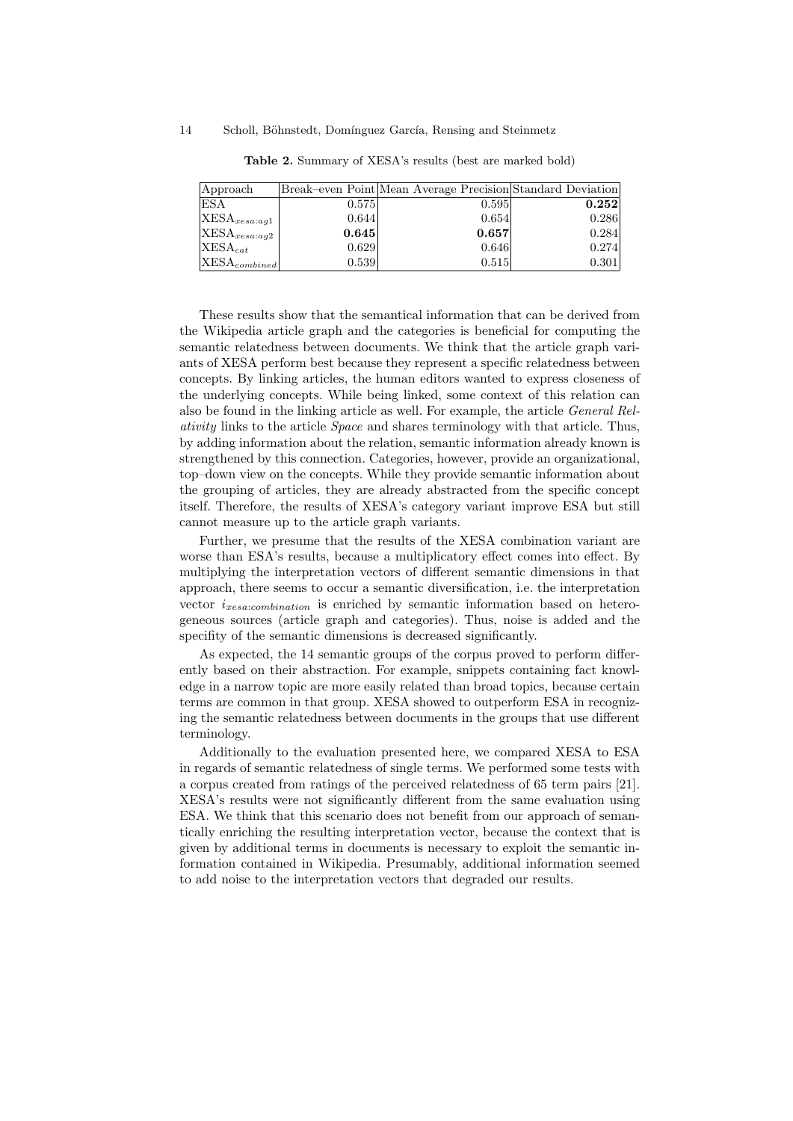| Approach                  |       | Break–even Point Mean Average Precision Standard Deviation |       |
|---------------------------|-------|------------------------------------------------------------|-------|
| ESA                       | 0.575 | 0.595                                                      | 0.252 |
| $ {\rm XESA}_{xesa:ag1} $ | 0.644 | 0.654                                                      | 0.286 |
| $ XESA_{xesa:ag2} $       | 0.645 | 0.657                                                      | 0.284 |
| $XESA_{cat}$              | 0.629 | 0.646                                                      | 0.274 |
| $ \rm XESA_{combined} $   | 0.539 | 0.515                                                      | 0.301 |

Table 2. Summary of XESA's results (best are marked bold)

These results show that the semantical information that can be derived from the Wikipedia article graph and the categories is beneficial for computing the semantic relatedness between documents. We think that the article graph variants of XESA perform best because they represent a specific relatedness between concepts. By linking articles, the human editors wanted to express closeness of the underlying concepts. While being linked, some context of this relation can also be found in the linking article as well. For example, the article General Relativity links to the article Space and shares terminology with that article. Thus, by adding information about the relation, semantic information already known is strengthened by this connection. Categories, however, provide an organizational, top–down view on the concepts. While they provide semantic information about the grouping of articles, they are already abstracted from the specific concept itself. Therefore, the results of XESA's category variant improve ESA but still cannot measure up to the article graph variants.

Further, we presume that the results of the XESA combination variant are worse than ESA's results, because a multiplicatory effect comes into effect. By multiplying the interpretation vectors of different semantic dimensions in that approach, there seems to occur a semantic diversification, i.e. the interpretation vector  $i_{xesa:combination}$  is enriched by semantic information based on heterogeneous sources (article graph and categories). Thus, noise is added and the specifity of the semantic dimensions is decreased significantly.

As expected, the 14 semantic groups of the corpus proved to perform differently based on their abstraction. For example, snippets containing fact knowledge in a narrow topic are more easily related than broad topics, because certain terms are common in that group. XESA showed to outperform ESA in recognizing the semantic relatedness between documents in the groups that use different terminology.

Additionally to the evaluation presented here, we compared XESA to ESA in regards of semantic relatedness of single terms. We performed some tests with a corpus created from ratings of the perceived relatedness of 65 term pairs [21]. XESA's results were not significantly different from the same evaluation using ESA. We think that this scenario does not benefit from our approach of semantically enriching the resulting interpretation vector, because the context that is given by additional terms in documents is necessary to exploit the semantic information contained in Wikipedia. Presumably, additional information seemed to add noise to the interpretation vectors that degraded our results.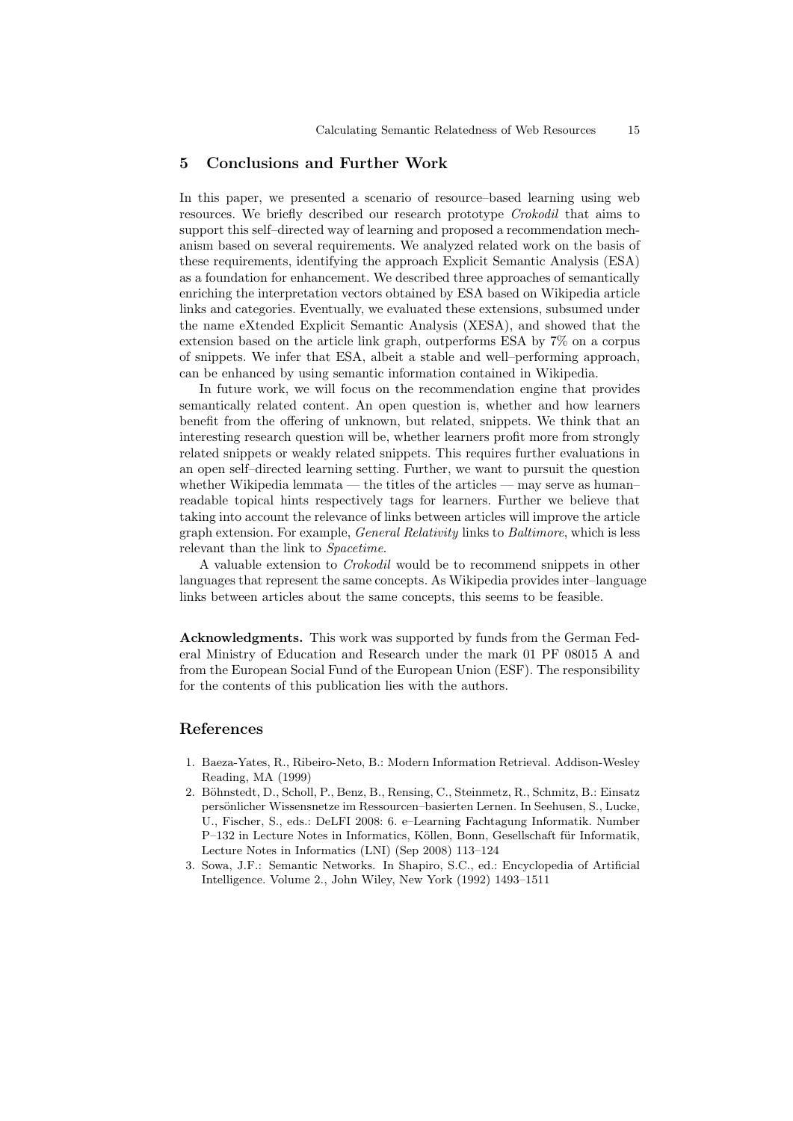# 5 Conclusions and Further Work

In this paper, we presented a scenario of resource–based learning using web resources. We briefly described our research prototype Crokodil that aims to support this self–directed way of learning and proposed a recommendation mechanism based on several requirements. We analyzed related work on the basis of these requirements, identifying the approach Explicit Semantic Analysis (ESA) as a foundation for enhancement. We described three approaches of semantically enriching the interpretation vectors obtained by ESA based on Wikipedia article links and categories. Eventually, we evaluated these extensions, subsumed under the name eXtended Explicit Semantic Analysis (XESA), and showed that the extension based on the article link graph, outperforms ESA by 7% on a corpus of snippets. We infer that ESA, albeit a stable and well–performing approach, can be enhanced by using semantic information contained in Wikipedia.

In future work, we will focus on the recommendation engine that provides semantically related content. An open question is, whether and how learners benefit from the offering of unknown, but related, snippets. We think that an interesting research question will be, whether learners profit more from strongly related snippets or weakly related snippets. This requires further evaluations in an open self–directed learning setting. Further, we want to pursuit the question whether Wikipedia lemmata — the titles of the articles — may serve as human– readable topical hints respectively tags for learners. Further we believe that taking into account the relevance of links between articles will improve the article graph extension. For example, General Relativity links to Baltimore, which is less relevant than the link to Spacetime.

A valuable extension to Crokodil would be to recommend snippets in other languages that represent the same concepts. As Wikipedia provides inter–language links between articles about the same concepts, this seems to be feasible.

Acknowledgments. This work was supported by funds from the German Federal Ministry of Education and Research under the mark 01 PF 08015 A and from the European Social Fund of the European Union (ESF). The responsibility for the contents of this publication lies with the authors.

# References

- 1. Baeza-Yates, R., Ribeiro-Neto, B.: Modern Information Retrieval. Addison-Wesley Reading, MA (1999)
- 2. Böhnstedt, D., Scholl, P., Benz, B., Rensing, C., Steinmetz, R., Schmitz, B.: Einsatz pers¨onlicher Wissensnetze im Ressourcen–basierten Lernen. In Seehusen, S., Lucke, U., Fischer, S., eds.: DeLFI 2008: 6. e–Learning Fachtagung Informatik. Number P–132 in Lecture Notes in Informatics, Köllen, Bonn, Gesellschaft für Informatik, Lecture Notes in Informatics (LNI) (Sep 2008) 113–124
- 3. Sowa, J.F.: Semantic Networks. In Shapiro, S.C., ed.: Encyclopedia of Artificial Intelligence. Volume 2., John Wiley, New York (1992) 1493–1511